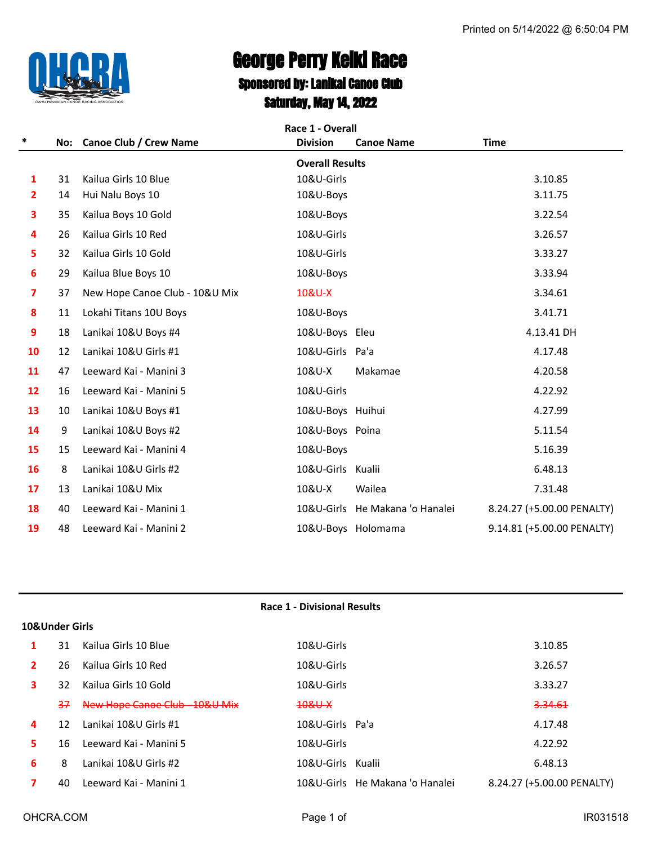

# George Perry Keiki Race Sponsored by: Lanikai Canoe Club

Saturday, May 14, 2022

|                | Race 1 - Overall |                                |                        |                                 |                            |  |
|----------------|------------------|--------------------------------|------------------------|---------------------------------|----------------------------|--|
| $\ast$         |                  | No: Canoe Club / Crew Name     | <b>Division</b>        | <b>Canoe Name</b>               | <b>Time</b>                |  |
|                |                  |                                | <b>Overall Results</b> |                                 |                            |  |
| 1              | 31               | Kailua Girls 10 Blue           | 10&U-Girls             |                                 | 3.10.85                    |  |
| $\overline{2}$ | 14               | Hui Nalu Boys 10               | 10&U-Boys              |                                 | 3.11.75                    |  |
| 3              | 35               | Kailua Boys 10 Gold            | 10&U-Boys              |                                 | 3.22.54                    |  |
| 4              | 26               | Kailua Girls 10 Red            | 10&U-Girls             |                                 | 3.26.57                    |  |
| 5              | 32               | Kailua Girls 10 Gold           | 10&U-Girls             |                                 | 3.33.27                    |  |
| 6              | 29               | Kailua Blue Boys 10            | 10&U-Boys              |                                 | 3.33.94                    |  |
| 7              | 37               | New Hope Canoe Club - 10&U Mix | 10&U-X                 |                                 | 3.34.61                    |  |
| 8              | 11               | Lokahi Titans 10U Boys         | 10&U-Boys              |                                 | 3.41.71                    |  |
| 9              | 18               | Lanikai 10&U Boys #4           | 10&U-Boys Eleu         |                                 | 4.13.41 DH                 |  |
| 10             | 12               | Lanikai 10&U Girls #1          | 10&U-Girls Pa'a        |                                 | 4.17.48                    |  |
| 11             | 47               | Leeward Kai - Manini 3         | 10&U-X                 | Makamae                         | 4.20.58                    |  |
| 12             | 16               | Leeward Kai - Manini 5         | 10&U-Girls             |                                 | 4.22.92                    |  |
| 13             | 10               | Lanikai 10&U Boys #1           | 10&U-Boys Huihui       |                                 | 4.27.99                    |  |
| 14             | 9                | Lanikai 10&U Boys #2           | 10&U-Boys Poina        |                                 | 5.11.54                    |  |
| 15             | 15               | Leeward Kai - Manini 4         | 10&U-Boys              |                                 | 5.16.39                    |  |
| 16             | 8                | Lanikai 10&U Girls #2          | 10&U-Girls Kualii      |                                 | 6.48.13                    |  |
| 17             | 13               | Lanikai 10&U Mix               | 10&U-X                 | Wailea                          | 7.31.48                    |  |
| 18             | 40               | Leeward Kai - Manini 1         |                        | 10&U-Girls He Makana 'o Hanalei | 8.24.27 (+5.00.00 PENALTY) |  |
| 19             | 48               | Leeward Kai - Manini 2         | 10&U-Boys Holomama     |                                 | 9.14.81 (+5.00.00 PENALTY) |  |

|              |                |                              | <b>Race 1 - Divisional Results</b> |                            |  |  |  |
|--------------|----------------|------------------------------|------------------------------------|----------------------------|--|--|--|
|              | 10&Under Girls |                              |                                    |                            |  |  |  |
| 1            | 31             | Kailua Girls 10 Blue         | 10&U-Girls                         | 3.10.85                    |  |  |  |
| $\mathbf{2}$ | 26             | Kailua Girls 10 Red          | 10&U-Girls                         | 3.26.57                    |  |  |  |
| 3            | 32             | Kailua Girls 10 Gold         | 10&U-Girls                         | 3.33.27                    |  |  |  |
|              | 37             | New Hope Canoe Club 10&U Mix | $10&\text{U} \times$               | 3.34.61                    |  |  |  |
| 4            | 12             | Lanikai 10&U Girls #1        | 10&U-Girls Pa'a                    | 4.17.48                    |  |  |  |
| 5.           | 16             | Leeward Kai - Manini 5       | 10&U-Girls                         | 4.22.92                    |  |  |  |
| 6            | 8              | Lanikai 10&U Girls #2        | 10&U-Girls Kualii                  | 6.48.13                    |  |  |  |
|              | 40             | Leeward Kai - Manini 1       | 10&U-Girls He Makana 'o Hanalei    | 8.24.27 (+5.00.00 PENALTY) |  |  |  |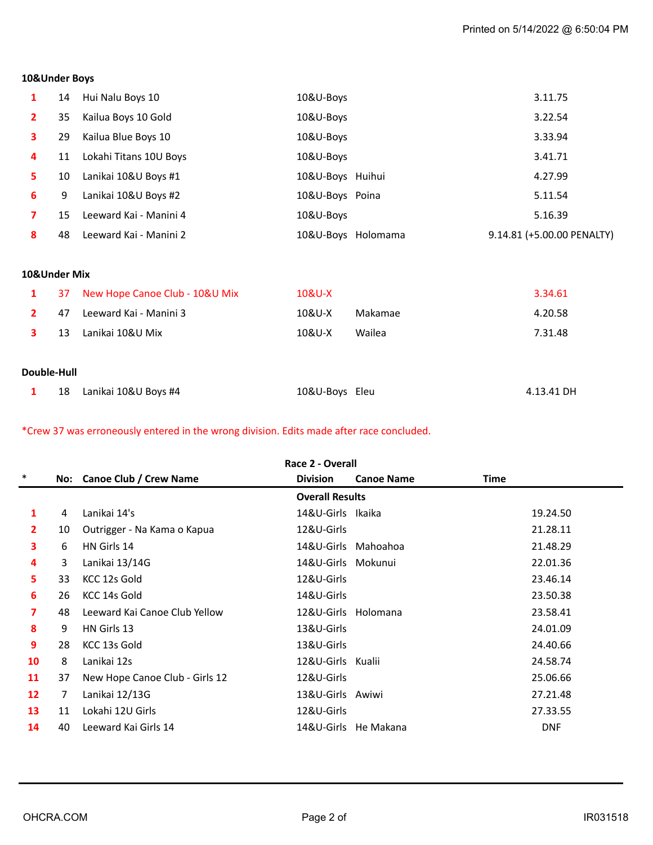# **10&Under Boys**

|   | 14 | Hui Nalu Boys 10       | 10&U-Boys          | 3.11.75                    |
|---|----|------------------------|--------------------|----------------------------|
|   |    |                        |                    |                            |
|   | 35 | Kailua Boys 10 Gold    | 10&U-Boys          | 3.22.54                    |
|   | 29 | Kailua Blue Boys 10    | 10&U-Boys          | 3.33.94                    |
| 4 | 11 | Lokahi Titans 10U Boys | 10&U-Boys          | 3.41.71                    |
|   | 10 | Lanikai 10&U Boys #1   | 10&U-Boys Huihui   | 4.27.99                    |
| 6 | 9  | Lanikai 10&U Boys #2   | 10&U-Boys Poina    | 5.11.54                    |
|   | 15 | Leeward Kai - Manini 4 | 10&U-Boys          | 5.16.39                    |
| 8 | 48 | Leeward Kai - Manini 2 | 10&U-Boys Holomama | 9.14.81 (+5.00.00 PENALTY) |

#### **10&Under Mix**

| $\mathbf{1}$ |    | 37 New Hope Canoe Club - 10&U Mix | 10&U-X |         | 3.34.61 |
|--------------|----|-----------------------------------|--------|---------|---------|
|              | 47 | Leeward Kai - Manini 3            | 10&U-X | Makamae | 4.20.58 |
|              | 13 | Lanikai 10&U Mix                  | 10&U-X | Wailea  | 7.31.48 |
| Double-Hull  |    |                                   |        |         |         |
|              |    |                                   |        |         |         |

|  |  | 18 Lanikai 10&U Boys #4 | 10&U-Boys Eleu | 4.13.41 DH |
|--|--|-------------------------|----------------|------------|
|--|--|-------------------------|----------------|------------|

\*Crew 37 was erroneously entered in the wrong division. Edits made after race concluded.

|                 | Race 2 - Overall |                                |                        |                      |            |  |  |
|-----------------|------------------|--------------------------------|------------------------|----------------------|------------|--|--|
| $\ast$          |                  | No: Canoe Club / Crew Name     | <b>Division</b>        | <b>Canoe Name</b>    | Time       |  |  |
|                 |                  |                                | <b>Overall Results</b> |                      |            |  |  |
| 1               | 4                | Lanikai 14's                   | 14&U-Girls Ikaika      |                      | 19.24.50   |  |  |
| $\overline{2}$  | 10               | Outrigger - Na Kama o Kapua    | 12&U-Girls             |                      | 21.28.11   |  |  |
| 3               | 6                | HN Girls 14                    |                        | 14&U-Girls Mahoahoa  | 21.48.29   |  |  |
| 4               | 3                | Lanikai 13/14G                 | 14&U-Girls Mokunui     |                      | 22.01.36   |  |  |
| 5.              | 33               | KCC 12s Gold                   | 12&U-Girls             |                      | 23.46.14   |  |  |
| 6               | 26               | KCC 14s Gold                   | 14&U-Girls             |                      | 23.50.38   |  |  |
| 7               | 48               | Leeward Kai Canoe Club Yellow  | 12&U-Girls Holomana    |                      | 23.58.41   |  |  |
| 8               | 9                | HN Girls 13                    | 13&U-Girls             |                      | 24.01.09   |  |  |
| 9               | 28               | KCC 13s Gold                   | 13&U-Girls             |                      | 24.40.66   |  |  |
| 10              | 8                | Lanikai 12s                    | 12&U-Girls Kualii      |                      | 24.58.74   |  |  |
| 11              | 37               | New Hope Canoe Club - Girls 12 | 12&U-Girls             |                      | 25.06.66   |  |  |
| 12 <sup>2</sup> | 7                | Lanikai 12/13G                 | 13&U-Girls Awiwi       |                      | 27.21.48   |  |  |
| 13              | 11               | Lokahi 12U Girls               | 12&U-Girls             |                      | 27.33.55   |  |  |
| 14              | 40               | Leeward Kai Girls 14           |                        | 14&U-Girls He Makana | <b>DNF</b> |  |  |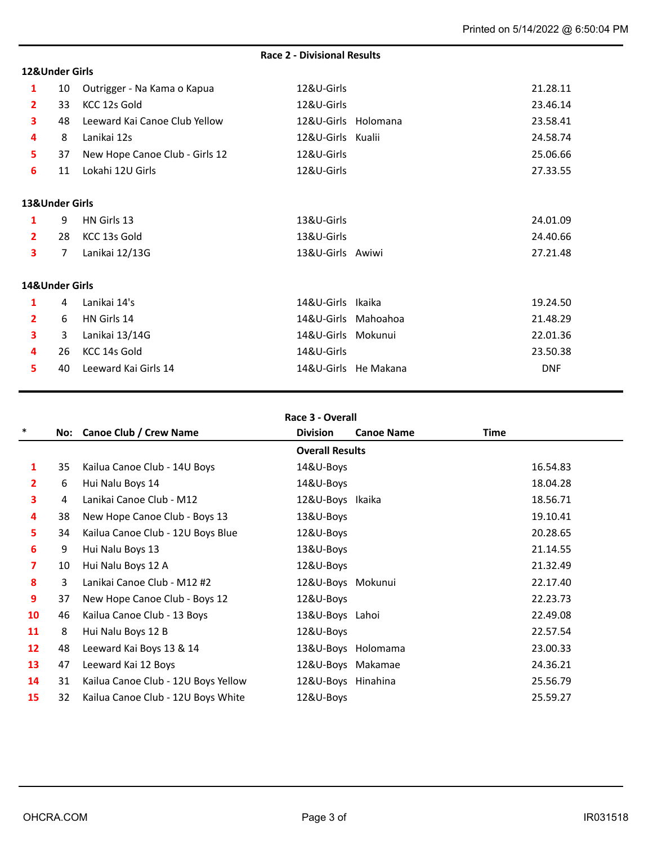#### **12&Under Girls**

# **Race 2 - Divisional Results**

| 1                       | 10             | Outrigger - Na Kama o Kapua    | 12&U-Girls          |                      | 21.28.11   |
|-------------------------|----------------|--------------------------------|---------------------|----------------------|------------|
| $\mathbf{2}$            | 33             | KCC 12s Gold                   | 12&U-Girls          |                      | 23.46.14   |
| 3                       | 48             | Leeward Kai Canoe Club Yellow  | 12&U-Girls Holomana |                      | 23.58.41   |
| 4                       | 8              | Lanikai 12s                    | 12&U-Girls Kualii   |                      | 24.58.74   |
| 5                       | 37             | New Hope Canoe Club - Girls 12 | 12&U-Girls          |                      | 25.06.66   |
| 6                       | 11             | Lokahi 12U Girls               | 12&U-Girls          |                      | 27.33.55   |
|                         |                |                                |                     |                      |            |
| 13&Under Girls          |                |                                |                     |                      |            |
| 1                       | 9              | HN Girls 13                    | 13&U-Girls          |                      | 24.01.09   |
| $\mathbf{2}$            | 28             | KCC 13s Gold                   | 13&U-Girls          |                      | 24.40.66   |
| 3                       | $\overline{7}$ | Lanikai 12/13G                 | 13&U-Girls Awiwi    |                      | 27.21.48   |
| 14&Under Girls          |                |                                |                     |                      |            |
| 1                       | 4              | Lanikai 14's                   | 14&U-Girls Ikaika   |                      | 19.24.50   |
| $\overline{2}$          | 6              | HN Girls 14                    | 14&U-Girls Mahoahoa |                      | 21.48.29   |
| $\overline{\mathbf{3}}$ | 3              | Lanikai 13/14G                 | 14&U-Girls Mokunui  |                      | 22.01.36   |
| 4                       | 26             | KCC 14s Gold                   | 14&U-Girls          |                      | 23.50.38   |
| 5.                      | 40             | Leeward Kai Girls 14           |                     | 14&U-Girls He Makana | <b>DNF</b> |
|                         |                |                                |                     |                      |            |

### **Race 3 - Overall**

| $\ast$            |    | No: Canoe Club / Crew Name          | <b>Division</b>        | <b>Canoe Name</b> | <b>Time</b> |
|-------------------|----|-------------------------------------|------------------------|-------------------|-------------|
|                   |    |                                     | <b>Overall Results</b> |                   |             |
| 1                 | 35 | Kailua Canoe Club - 14U Boys        | 14&U-Boys              |                   | 16.54.83    |
| $\mathbf{2}$      | 6  | Hui Nalu Boys 14                    | 14&U-Boys              |                   | 18.04.28    |
| 3                 | 4  | Lanikai Canoe Club - M12            | 12&U-Boys Ikaika       |                   | 18.56.71    |
| 4                 | 38 | New Hope Canoe Club - Boys 13       | 13&U-Boys              |                   | 19.10.41    |
| 5.                | 34 | Kailua Canoe Club - 12U Boys Blue   | 12&U-Boys              |                   | 20.28.65    |
| 6                 | 9  | Hui Nalu Boys 13                    | 13&U-Boys              |                   | 21.14.55    |
| 7                 | 10 | Hui Nalu Boys 12 A                  | 12&U-Boys              |                   | 21.32.49    |
| 8                 | 3  | Lanikai Canoe Club - M12 #2         | 12&U-Boys Mokunui      |                   | 22.17.40    |
| 9                 | 37 | New Hope Canoe Club - Boys 12       | 12&U-Boys              |                   | 22.23.73    |
| 10                | 46 | Kailua Canoe Club - 13 Boys         | 13&U-Boys Lahoi        |                   | 22.49.08    |
| 11                | 8  | Hui Nalu Boys 12 B                  | 12&U-Boys              |                   | 22.57.54    |
| $12 \overline{ }$ | 48 | Leeward Kai Boys 13 & 14            | 13&U-Boys Holomama     |                   | 23.00.33    |
| 13                | 47 | Leeward Kai 12 Boys                 | 12&U-Boys Makamae      |                   | 24.36.21    |
| 14                | 31 | Kailua Canoe Club - 12U Boys Yellow | 12&U-Boys Hinahina     |                   | 25.56.79    |
| 15                | 32 | Kailua Canoe Club - 12U Boys White  | 12&U-Boys              |                   | 25.59.27    |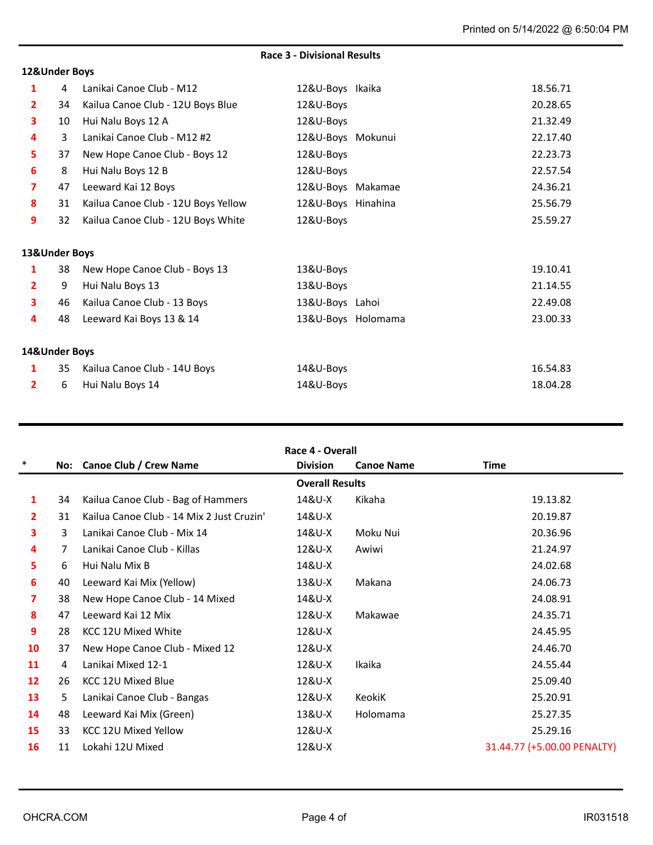# **Race 3 - Divisional Results**

#### **12&Under Boys**

| 1             | 4  | Lanikai Canoe Club - M12            | 12&U-Boys Ikaika   |                    | 18.56.71 |
|---------------|----|-------------------------------------|--------------------|--------------------|----------|
| 2             | 34 | Kailua Canoe Club - 12U Boys Blue   | 12&U-Boys          |                    | 20.28.65 |
| 3             | 10 | Hui Nalu Boys 12 A                  | 12&U-Boys          |                    | 21.32.49 |
| 4             | 3  | Lanikai Canoe Club - M12 #2         | 12&U-Boys Mokunui  |                    | 22.17.40 |
| 5             | 37 | New Hope Canoe Club - Boys 12       | 12&U-Boys          |                    | 22.23.73 |
| 6             | 8  | Hui Nalu Boys 12 B                  | 12&U-Boys          |                    | 22.57.54 |
| 7             | 47 | Leeward Kai 12 Boys                 | 12&U-Boys Makamae  |                    | 24.36.21 |
| 8             | 31 | Kailua Canoe Club - 12U Boys Yellow | 12&U-Boys Hinahina |                    | 25.56.79 |
| 9             | 32 | Kailua Canoe Club - 12U Boys White  | 12&U-Boys          |                    | 25.59.27 |
| 13&Under Boys |    |                                     |                    |                    |          |
| 1             | 38 | New Hope Canoe Club - Boys 13       | 13&U-Boys          |                    | 19.10.41 |
| 2             | 9  | Hui Nalu Boys 13                    | 13&U-Boys          |                    | 21.14.55 |
| 3             | 46 | Kailua Canoe Club - 13 Boys         | 13&U-Boys Lahoi    |                    | 22.49.08 |
| 4             | 48 | Leeward Kai Boys 13 & 14            |                    | 13&U-Boys Holomama | 23.00.33 |
|               |    |                                     |                    |                    |          |
| 14&Under Boys |    |                                     |                    |                    |          |
| 1             | 35 | Kailua Canoe Club - 14U Boys        | 14&U-Boys          |                    | 16.54.83 |
| 2             | 6  | Hui Nalu Boys 14                    | 14&U-Boys          |                    | 18.04.28 |

| Race 4 - Overall |  |  |
|------------------|--|--|
|------------------|--|--|

| $\ast$       |    | No: Canoe Club / Crew Name                | <b>Division</b>        | <b>Canoe Name</b> | <b>Time</b>                 |
|--------------|----|-------------------------------------------|------------------------|-------------------|-----------------------------|
|              |    |                                           | <b>Overall Results</b> |                   |                             |
| 1            | 34 | Kailua Canoe Club - Bag of Hammers        | 14&U-X                 | Kikaha            | 19.13.82                    |
| $\mathbf{2}$ | 31 | Kailua Canoe Club - 14 Mix 2 Just Cruzin' | 14&U-X                 |                   | 20.19.87                    |
| 3            | 3  | Lanikai Canoe Club - Mix 14               | 14&U-X                 | Moku Nui          | 20.36.96                    |
| 4            | 7  | Lanikai Canoe Club - Killas               | 12&U-X                 | Awiwi             | 21.24.97                    |
| 5            | 6  | Hui Nalu Mix B                            | 14&U-X                 |                   | 24.02.68                    |
| 6            | 40 | Leeward Kai Mix (Yellow)                  | 13&U-X                 | Makana            | 24.06.73                    |
| 7            | 38 | New Hope Canoe Club - 14 Mixed            | 14&U-X                 |                   | 24.08.91                    |
| 8            | 47 | Leeward Kai 12 Mix                        | 12&U-X                 | Makawae           | 24.35.71                    |
| 9            | 28 | KCC 12U Mixed White                       | 12&U-X                 |                   | 24.45.95                    |
| 10           | 37 | New Hope Canoe Club - Mixed 12            | 12&U-X                 |                   | 24.46.70                    |
| 11           | 4  | Lanikai Mixed 12-1                        | 12&U-X                 | Ikaika            | 24.55.44                    |
| 12           | 26 | KCC 12U Mixed Blue                        | 12&U-X                 |                   | 25.09.40                    |
| 13           | 5  | Lanikai Canoe Club - Bangas               | 12&U-X                 | KeokiK            | 25.20.91                    |
| 14           | 48 | Leeward Kai Mix (Green)                   | 13&U-X                 | Holomama          | 25.27.35                    |
| 15           | 33 | <b>KCC 12U Mixed Yellow</b>               | 12&U-X                 |                   | 25.29.16                    |
| 16           | 11 | Lokahi 12U Mixed                          | 12&U-X                 |                   | 31.44.77 (+5.00.00 PENALTY) |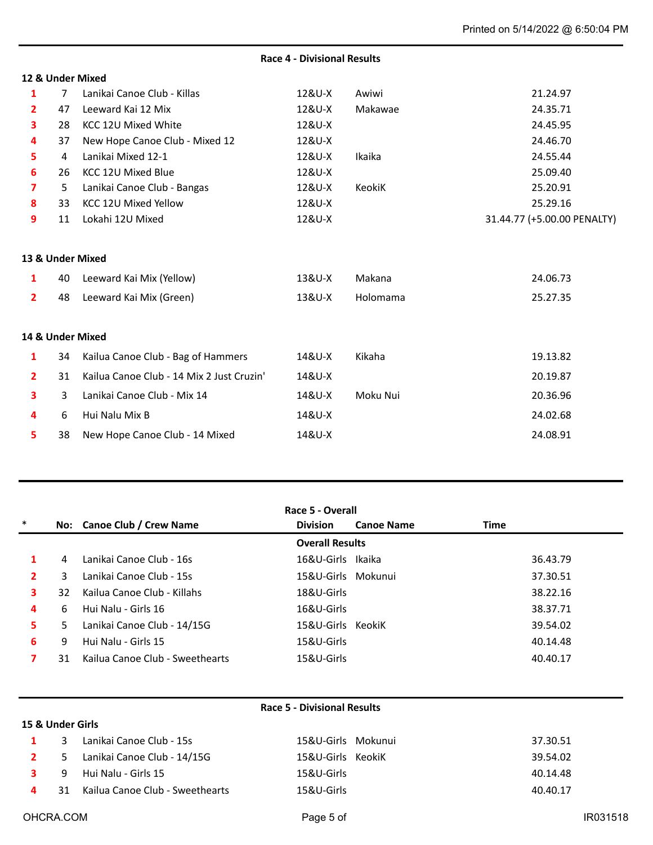|                |                |                                           | <b>Race 4 - Divisional Results</b> |          |                             |
|----------------|----------------|-------------------------------------------|------------------------------------|----------|-----------------------------|
|                |                | 12 & Under Mixed                          |                                    |          |                             |
| 1              | $\overline{7}$ | Lanikai Canoe Club - Killas               | 12&U-X                             | Awiwi    | 21.24.97                    |
| $\overline{2}$ | 47             | Leeward Kai 12 Mix                        | 12&U-X                             | Makawae  | 24.35.71                    |
| 3              | 28             | KCC 12U Mixed White                       | 12&U-X                             |          | 24.45.95                    |
| 4              | 37             | New Hope Canoe Club - Mixed 12            | 12&U-X                             |          | 24.46.70                    |
| 5              | 4              | Lanikai Mixed 12-1                        | 12&U-X                             | Ikaika   | 24.55.44                    |
| 6              | 26             | KCC 12U Mixed Blue                        | 12&U-X                             |          | 25.09.40                    |
| 7              | 5              | Lanikai Canoe Club - Bangas               | 12&U-X                             | KeokiK   | 25.20.91                    |
| 8              | 33             | KCC 12U Mixed Yellow                      | 12&U-X                             |          | 25.29.16                    |
| 9              | 11             | Lokahi 12U Mixed                          | 12&U-X                             |          | 31.44.77 (+5.00.00 PENALTY) |
|                |                |                                           |                                    |          |                             |
|                |                | 13 & Under Mixed                          |                                    |          |                             |
| 1              | 40             | Leeward Kai Mix (Yellow)                  | 13&U-X                             | Makana   | 24.06.73                    |
| $\overline{2}$ | 48             | Leeward Kai Mix (Green)                   | 13&U-X                             | Holomama | 25.27.35                    |
|                |                |                                           |                                    |          |                             |
|                |                | 14 & Under Mixed                          |                                    |          |                             |
| $\mathbf{1}$   | 34             | Kailua Canoe Club - Bag of Hammers        | 14&U-X                             | Kikaha   | 19.13.82                    |
| $\overline{2}$ | 31             | Kailua Canoe Club - 14 Mix 2 Just Cruzin' | 14&U-X                             |          | 20.19.87                    |
| 3              | 3              | Lanikai Canoe Club - Mix 14               | 14&U-X                             | Moku Nui | 20.36.96                    |
| 4              | 6              | Hui Nalu Mix B                            | 14&U-X                             |          | 24.02.68                    |
| 5              | 38             | New Hope Canoe Club - 14 Mixed            | 14&U-X                             |          | 24.08.91                    |

| Race 5 - Overall       |    |                                 |                    |                   |          |  |
|------------------------|----|---------------------------------|--------------------|-------------------|----------|--|
| $\ast$                 |    | No: Canoe Club / Crew Name      | <b>Division</b>    | <b>Canoe Name</b> | Time     |  |
| <b>Overall Results</b> |    |                                 |                    |                   |          |  |
|                        | 4  | Lanikai Canoe Club - 16s        | 16&U-Girls Ikaika  |                   | 36.43.79 |  |
| $\mathbf{z}$           | 3  | Lanikai Canoe Club - 15s        | 15&U-Girls Mokunui |                   | 37.30.51 |  |
| 3                      | 32 | Kailua Canoe Club - Killahs     | 18&U-Girls         |                   | 38.22.16 |  |
| 4                      | 6  | Hui Nalu - Girls 16             | 16&U-Girls         |                   | 38.37.71 |  |
| 5.                     | 5. | Lanikai Canoe Club - 14/15G     | 15&U-Girls KeokiK  |                   | 39.54.02 |  |
| 6                      | 9  | Hui Nalu - Girls 15             | 15&U-Girls         |                   | 40.14.48 |  |
| 7                      | 31 | Kailua Canoe Club - Sweethearts | 15&U-Girls         |                   | 40.40.17 |  |

| <b>Race 5 - Divisional Results</b> |
|------------------------------------|
|------------------------------------|

|  | 1 3 Lanikai Canoe Club - 15s         | 15&U-Girls Mokunui | 37.30.51 |
|--|--------------------------------------|--------------------|----------|
|  | 2 5 Lanikai Canoe Club - 14/15G      | 15&U-Girls KeokiK  | 39.54.02 |
|  | 3 9 Hui Nalu - Girls 15              | 15&U-Girls         | 40.14.48 |
|  | 4 31 Kailua Canoe Club - Sweethearts | 15&U-Girls         | 40.40.17 |

**15 & Under Girls**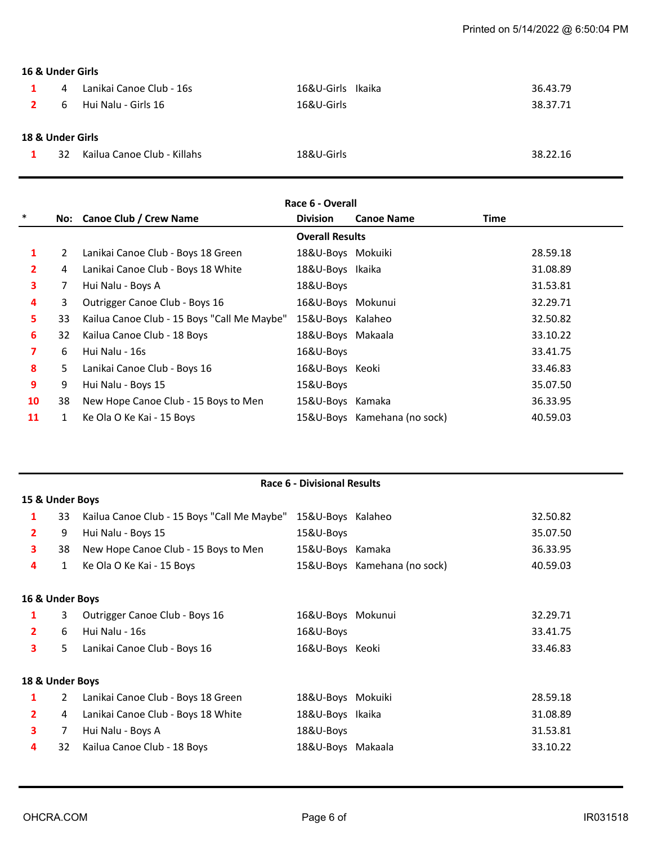# **16 & Under Girls**

| $\mathbf{1}$<br>$\overline{\mathbf{2}}$ | 4<br>6 | Lanikai Canoe Club - 16s<br>Hui Nalu - Girls 16 | 16&U-Girls Ikaika<br>16&U-Girls | 36.43.79<br>38.37.71 |
|-----------------------------------------|--------|-------------------------------------------------|---------------------------------|----------------------|
| 18 & Under Girls                        |        |                                                 |                                 |                      |
| $\mathbf{1}$                            | 32.    | Kailua Canoe Club - Killahs                     | 18&U-Girls                      | 38.22.16             |

| Race 6 - Overall |                        |                                             |                   |                              |          |  |
|------------------|------------------------|---------------------------------------------|-------------------|------------------------------|----------|--|
| $\ast$           |                        | No: Canoe Club / Crew Name                  | <b>Division</b>   | <b>Canoe Name</b>            | Time     |  |
|                  | <b>Overall Results</b> |                                             |                   |                              |          |  |
| 1                | $\overline{2}$         | Lanikai Canoe Club - Boys 18 Green          | 18&U-Boys Mokuiki |                              | 28.59.18 |  |
| 2                | 4                      | Lanikai Canoe Club - Boys 18 White          | 18&U-Boys Ikaika  |                              | 31.08.89 |  |
| 3                | 7                      | Hui Nalu - Boys A                           | 18&U-Boys         |                              | 31.53.81 |  |
| 4                | 3                      | Outrigger Canoe Club - Boys 16              | 16&U-Boys Mokunui |                              | 32.29.71 |  |
| 5.               | 33                     | Kailua Canoe Club - 15 Boys "Call Me Maybe" | 15&U-Boys Kalaheo |                              | 32.50.82 |  |
| 6                | 32                     | Kailua Canoe Club - 18 Boys                 | 18&U-Boys Makaala |                              | 33.10.22 |  |
| 7                | 6                      | Hui Nalu - 16s                              | 16&U-Boys         |                              | 33.41.75 |  |
| 8                | 5                      | Lanikai Canoe Club - Boys 16                | 16&U-Boys Keoki   |                              | 33.46.83 |  |
| 9                | 9                      | Hui Nalu - Boys 15                          | 15&U-Boys         |                              | 35.07.50 |  |
| 10               | 38                     | New Hope Canoe Club - 15 Boys to Men        | 15&U-Boys Kamaka  |                              | 36.33.95 |  |
| 11               |                        | Ke Ola O Ke Kai - 15 Boys                   |                   | 15&U-Boys Kamehana (no sock) | 40.59.03 |  |

| Race 6 - Divisional Results |                 |                                             |                   |                              |          |  |  |
|-----------------------------|-----------------|---------------------------------------------|-------------------|------------------------------|----------|--|--|
|                             | 15 & Under Boys |                                             |                   |                              |          |  |  |
| 1                           | 33              | Kailua Canoe Club - 15 Boys "Call Me Maybe" | 15&U-Boys Kalaheo |                              | 32.50.82 |  |  |
| $\mathbf{2}$                | 9               | Hui Nalu - Boys 15                          | 15&U-Boys         |                              | 35.07.50 |  |  |
| 3                           | 38              | New Hope Canoe Club - 15 Boys to Men        | 15&U-Boys Kamaka  |                              | 36.33.95 |  |  |
| 4                           | $\mathbf{1}$    | Ke Ola O Ke Kai - 15 Boys                   |                   | 15&U-Boys Kamehana (no sock) | 40.59.03 |  |  |
|                             |                 |                                             |                   |                              |          |  |  |
| 16 & Under Boys             |                 |                                             |                   |                              |          |  |  |
| 1                           | 3               | Outrigger Canoe Club - Boys 16              | 16&U-Boys Mokunui |                              | 32.29.71 |  |  |
| $\overline{2}$              | 6               | Hui Nalu - 16s                              | 16&U-Boys         |                              | 33.41.75 |  |  |
| 3                           | 5               | Lanikai Canoe Club - Boys 16                | 16&U-Boys Keoki   |                              | 33.46.83 |  |  |
|                             |                 |                                             |                   |                              |          |  |  |
| 18 & Under Boys             |                 |                                             |                   |                              |          |  |  |
| 1                           | 2               | Lanikai Canoe Club - Boys 18 Green          | 18&U-Boys Mokuiki |                              | 28.59.18 |  |  |
| $\mathbf{2}$                | 4               | Lanikai Canoe Club - Boys 18 White          | 18&U-Boys Ikaika  |                              | 31.08.89 |  |  |
| 3                           | 7               | Hui Nalu - Boys A                           | 18&U-Boys         |                              | 31.53.81 |  |  |
| 4                           | 32              | Kailua Canoe Club - 18 Boys                 | 18&U-Boys Makaala |                              | 33.10.22 |  |  |
|                             |                 |                                             |                   |                              |          |  |  |